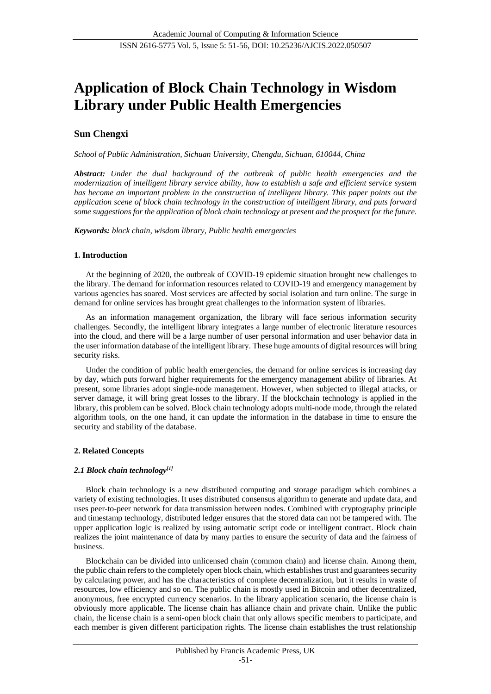# **Application of Block Chain Technology in Wisdom Library under Public Health Emergencies**

## **Sun Chengxi**

*School of Public Administration, Sichuan University, Chengdu, Sichuan, 610044, China*

*Abstract: Under the dual background of the outbreak of public health emergencies and the modernization of intelligent library service ability, how to establish a safe and efficient service system has become an important problem in the construction of intelligent library. This paper points out the application scene of block chain technology in the construction of intelligent library, and puts forward some suggestions for the application of block chain technology at present and the prospect for the future.*

*Keywords: block chain, wisdom library, Public health emergencies*

## **1. Introduction**

At the beginning of 2020, the outbreak of COVID-19 epidemic situation brought new challenges to the library. The demand for information resources related to COVID-19 and emergency management by various agencies has soared. Most services are affected by social isolation and turn online. The surge in demand for online services has brought great challenges to the information system of libraries.

As an information management organization, the library will face serious information security challenges. Secondly, the intelligent library integrates a large number of electronic literature resources into the cloud, and there will be a large number of user personal information and user behavior data in the user information database of the intelligent library. These huge amounts of digital resources will bring security risks.

Under the condition of public health emergencies, the demand for online services is increasing day by day, which puts forward higher requirements for the emergency management ability of libraries. At present, some libraries adopt single-node management. However, when subjected to illegal attacks, or server damage, it will bring great losses to the library. If the blockchain technology is applied in the library, this problem can be solved. Block chain technology adopts multi-node mode, through the related algorithm tools, on the one hand, it can update the information in the database in time to ensure the security and stability of the database.

## **2. Related Concepts**

## *2.1 Block chain technology[1]*

Block chain technology is a new distributed computing and storage paradigm which combines a variety of existing technologies. It uses distributed consensus algorithm to generate and update data, and uses peer-to-peer network for data transmission between nodes. Combined with cryptography principle and timestamp technology, distributed ledger ensures that the stored data can not be tampered with. The upper application logic is realized by using automatic script code or intelligent contract. Block chain realizes the joint maintenance of data by many parties to ensure the security of data and the fairness of business.

Blockchain can be divided into unlicensed chain (common chain) and license chain. Among them, the public chain refers to the completely open block chain, which establishes trust and guarantees security by calculating power, and has the characteristics of complete decentralization, but it results in waste of resources, low efficiency and so on. The public chain is mostly used in Bitcoin and other decentralized, anonymous, free encrypted currency scenarios. In the library application scenario, the license chain is obviously more applicable. The license chain has alliance chain and private chain. Unlike the public chain, the license chain is a semi-open block chain that only allows specific members to participate, and each member is given different participation rights. The license chain establishes the trust relationship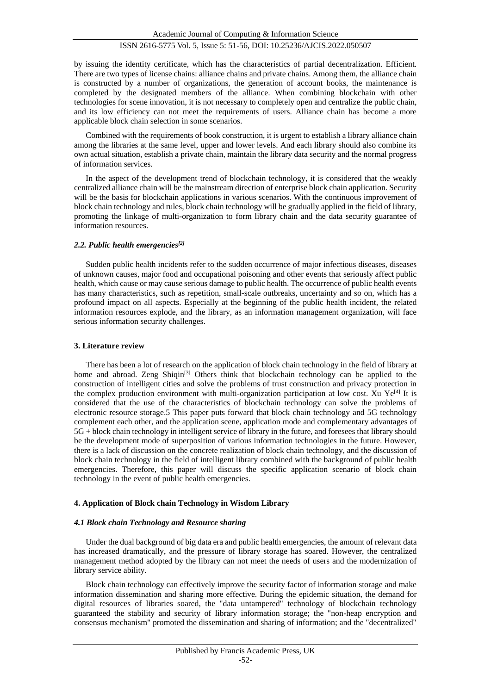by issuing the identity certificate, which has the characteristics of partial decentralization. Efficient. There are two types of license chains: alliance chains and private chains. Among them, the alliance chain is constructed by a number of organizations, the generation of account books, the maintenance is completed by the designated members of the alliance. When combining blockchain with other technologies for scene innovation, it is not necessary to completely open and centralize the public chain, and its low efficiency can not meet the requirements of users. Alliance chain has become a more applicable block chain selection in some scenarios.

Combined with the requirements of book construction, it is urgent to establish a library alliance chain among the libraries at the same level, upper and lower levels. And each library should also combine its own actual situation, establish a private chain, maintain the library data security and the normal progress of information services.

In the aspect of the development trend of blockchain technology, it is considered that the weakly centralized alliance chain will be the mainstream direction of enterprise block chain application. Security will be the basis for blockchain applications in various scenarios. With the continuous improvement of block chain technology and rules, block chain technology will be gradually applied in the field of library, promoting the linkage of multi-organization to form library chain and the data security guarantee of information resources.

#### *2.2. Public health emergencies[2]*

Sudden public health incidents refer to the sudden occurrence of major infectious diseases, diseases of unknown causes, major food and occupational poisoning and other events that seriously affect public health, which cause or may cause serious damage to public health. The occurrence of public health events has many characteristics, such as repetition, small-scale outbreaks, uncertainty and so on, which has a profound impact on all aspects. Especially at the beginning of the public health incident, the related information resources explode, and the library, as an information management organization, will face serious information security challenges.

#### **3. Literature review**

There has been a lot of research on the application of block chain technology in the field of library at home and abroad. Zeng Shiqin<sup>[3]</sup> Others think that blockchain technology can be applied to the construction of intelligent cities and solve the problems of trust construction and privacy protection in the complex production environment with multi-organization participation at low cost. Xu Ye<sup>[4]</sup> It is considered that the use of the characteristics of blockchain technology can solve the problems of electronic resource storage.5 This paper puts forward that block chain technology and 5G technology complement each other, and the application scene, application mode and complementary advantages of 5G + block chain technology in intelligent service of library in the future, and foresees that library should be the development mode of superposition of various information technologies in the future. However, there is a lack of discussion on the concrete realization of block chain technology, and the discussion of block chain technology in the field of intelligent library combined with the background of public health emergencies. Therefore, this paper will discuss the specific application scenario of block chain technology in the event of public health emergencies.

#### **4. Application of Block chain Technology in Wisdom Library**

#### *4.1 Block chain Technology and Resource sharing*

Under the dual background of big data era and public health emergencies, the amount of relevant data has increased dramatically, and the pressure of library storage has soared. However, the centralized management method adopted by the library can not meet the needs of users and the modernization of library service ability.

Block chain technology can effectively improve the security factor of information storage and make information dissemination and sharing more effective. During the epidemic situation, the demand for digital resources of libraries soared, the "data untampered" technology of blockchain technology guaranteed the stability and security of library information storage; the "non-heap encryption and consensus mechanism" promoted the dissemination and sharing of information; and the "decentralized"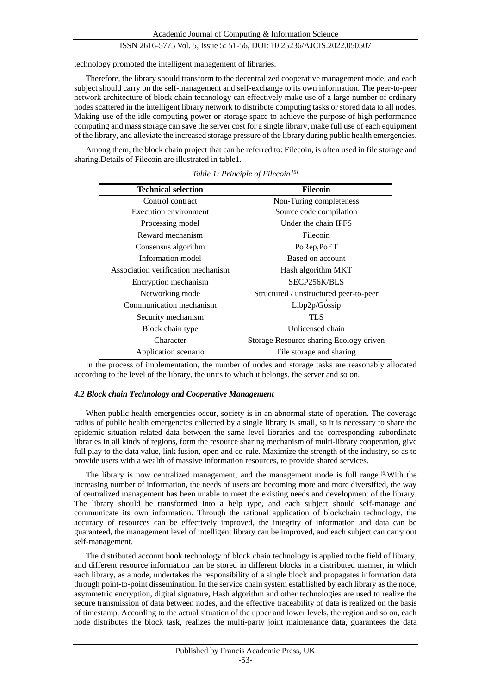technology promoted the intelligent management of libraries.

Therefore, the library should transform to the decentralized cooperative management mode, and each subject should carry on the self-management and self-exchange to its own information. The peer-to-peer network architecture of block chain technology can effectively make use of a large number of ordinary nodes scattered in the intelligent library network to distribute computing tasks or stored data to all nodes. Making use of the idle computing power or storage space to achieve the purpose of high performance computing and mass storage can save the server cost for a single library, make full use of each equipment of the library, and alleviate the increased storage pressure of the library during public health emergencies.

Among them, the block chain project that can be referred to: Filecoin, is often used in file storage and sharing.Details of Filecoin are illustrated in table1.

| <b>Technical selection</b>         | <b>Filecoin</b>                         |
|------------------------------------|-----------------------------------------|
| Control contract                   | Non-Turing completeness                 |
| Execution environment              | Source code compilation                 |
| Processing model                   | Under the chain IPFS                    |
| Reward mechanism                   | Filecoin                                |
| Consensus algorithm                | PoRep, PoET                             |
| Information model                  | Based on account                        |
| Association verification mechanism | Hash algorithm MKT                      |
| Encryption mechanism               | SECP256K/BLS                            |
| Networking mode                    | Structured / unstructured peer-to-peer  |
| Communication mechanism            | Libp2p/Gossip                           |
| Security mechanism                 | <b>TLS</b>                              |
| Block chain type                   | Unlicensed chain                        |
| Character                          | Storage Resource sharing Ecology driven |
| Application scenario               | File storage and sharing                |

*Table 1: Principle of Filecoin [5]*

In the process of implementation, the number of nodes and storage tasks are reasonably allocated according to the level of the library, the units to which it belongs, the server and so on.

#### *4.2 Block chain Technology and Cooperative Management*

When public health emergencies occur, society is in an abnormal state of operation. The coverage radius of public health emergencies collected by a single library is small, so it is necessary to share the epidemic situation related data between the same level libraries and the corresponding subordinate libraries in all kinds of regions, form the resource sharing mechanism of multi-library cooperation, give full play to the data value, link fusion, open and co-rule. Maximize the strength of the industry, so as to provide users with a wealth of massive information resources, to provide shared services.

The library is now centralized management, and the management mode is full range.[6]With the increasing number of information, the needs of users are becoming more and more diversified, the way of centralized management has been unable to meet the existing needs and development of the library. The library should be transformed into a help type, and each subject should self-manage and communicate its own information. Through the rational application of blockchain technology, the accuracy of resources can be effectively improved, the integrity of information and data can be guaranteed, the management level of intelligent library can be improved, and each subject can carry out self-management.

The distributed account book technology of block chain technology is applied to the field of library, and different resource information can be stored in different blocks in a distributed manner, in which each library, as a node, undertakes the responsibility of a single block and propagates information data through point-to-point dissemination. In the service chain system established by each library as the node, asymmetric encryption, digital signature, Hash algorithm and other technologies are used to realize the secure transmission of data between nodes, and the effective traceability of data is realized on the basis of timestamp. According to the actual situation of the upper and lower levels, the region and so on, each node distributes the block task, realizes the multi-party joint maintenance data, guarantees the data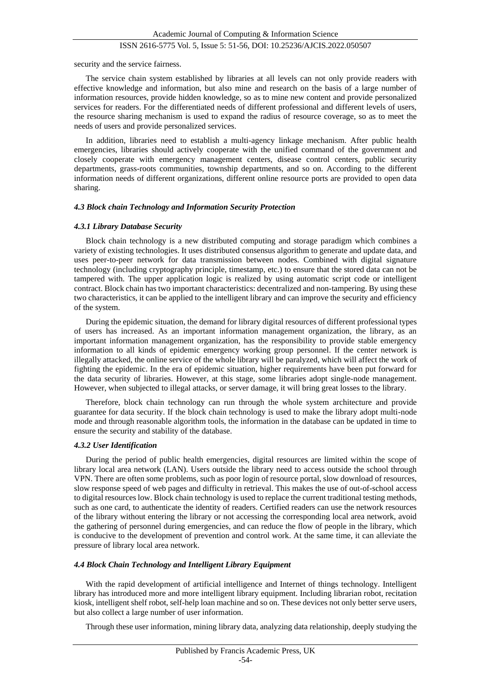security and the service fairness.

The service chain system established by libraries at all levels can not only provide readers with effective knowledge and information, but also mine and research on the basis of a large number of information resources, provide hidden knowledge, so as to mine new content and provide personalized services for readers. For the differentiated needs of different professional and different levels of users, the resource sharing mechanism is used to expand the radius of resource coverage, so as to meet the needs of users and provide personalized services.

In addition, libraries need to establish a multi-agency linkage mechanism. After public health emergencies, libraries should actively cooperate with the unified command of the government and closely cooperate with emergency management centers, disease control centers, public security departments, grass-roots communities, township departments, and so on. According to the different information needs of different organizations, different online resource ports are provided to open data sharing.

#### *4.3 Block chain Technology and Information Security Protection*

#### *4.3.1 Library Database Security*

Block chain technology is a new distributed computing and storage paradigm which combines a variety of existing technologies. It uses distributed consensus algorithm to generate and update data, and uses peer-to-peer network for data transmission between nodes. Combined with digital signature technology (including cryptography principle, timestamp, etc.) to ensure that the stored data can not be tampered with. The upper application logic is realized by using automatic script code or intelligent contract. Block chain has two important characteristics: decentralized and non-tampering. By using these two characteristics, it can be applied to the intelligent library and can improve the security and efficiency of the system.

During the epidemic situation, the demand for library digital resources of different professional types of users has increased. As an important information management organization, the library, as an important information management organization, has the responsibility to provide stable emergency information to all kinds of epidemic emergency working group personnel. If the center network is illegally attacked, the online service of the whole library will be paralyzed, which will affect the work of fighting the epidemic. In the era of epidemic situation, higher requirements have been put forward for the data security of libraries. However, at this stage, some libraries adopt single-node management. However, when subjected to illegal attacks, or server damage, it will bring great losses to the library.

Therefore, block chain technology can run through the whole system architecture and provide guarantee for data security. If the block chain technology is used to make the library adopt multi-node mode and through reasonable algorithm tools, the information in the database can be updated in time to ensure the security and stability of the database.

#### *4.3.2 User Identification*

During the period of public health emergencies, digital resources are limited within the scope of library local area network (LAN). Users outside the library need to access outside the school through VPN. There are often some problems, such as poor login of resource portal, slow download of resources, slow response speed of web pages and difficulty in retrieval. This makes the use of out-of-school access to digital resources low. Block chain technology is used to replace the current traditional testing methods, such as one card, to authenticate the identity of readers. Certified readers can use the network resources of the library without entering the library or not accessing the corresponding local area network, avoid the gathering of personnel during emergencies, and can reduce the flow of people in the library, which is conducive to the development of prevention and control work. At the same time, it can alleviate the pressure of library local area network.

#### *4.4 Block Chain Technology and Intelligent Library Equipment*

With the rapid development of artificial intelligence and Internet of things technology. Intelligent library has introduced more and more intelligent library equipment. Including librarian robot, recitation kiosk, intelligent shelf robot, self-help loan machine and so on. These devices not only better serve users, but also collect a large number of user information.

Through these user information, mining library data, analyzing data relationship, deeply studying the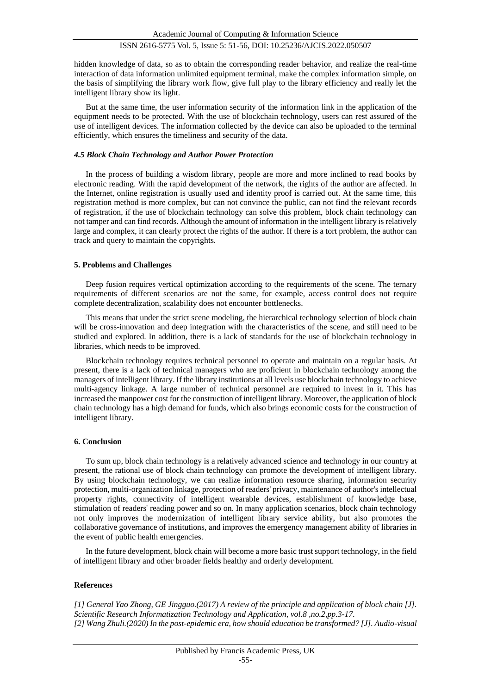hidden knowledge of data, so as to obtain the corresponding reader behavior, and realize the real-time interaction of data information unlimited equipment terminal, make the complex information simple, on the basis of simplifying the library work flow, give full play to the library efficiency and really let the intelligent library show its light.

But at the same time, the user information security of the information link in the application of the equipment needs to be protected. With the use of blockchain technology, users can rest assured of the use of intelligent devices. The information collected by the device can also be uploaded to the terminal efficiently, which ensures the timeliness and security of the data.

#### *4.5 Block Chain Technology and Author Power Protection*

In the process of building a wisdom library, people are more and more inclined to read books by electronic reading. With the rapid development of the network, the rights of the author are affected. In the Internet, online registration is usually used and identity proof is carried out. At the same time, this registration method is more complex, but can not convince the public, can not find the relevant records of registration, if the use of blockchain technology can solve this problem, block chain technology can not tamper and can find records. Although the amount of information in the intelligent library is relatively large and complex, it can clearly protect the rights of the author. If there is a tort problem, the author can track and query to maintain the copyrights.

#### **5. Problems and Challenges**

Deep fusion requires vertical optimization according to the requirements of the scene. The ternary requirements of different scenarios are not the same, for example, access control does not require complete decentralization, scalability does not encounter bottlenecks.

This means that under the strict scene modeling, the hierarchical technology selection of block chain will be cross-innovation and deep integration with the characteristics of the scene, and still need to be studied and explored. In addition, there is a lack of standards for the use of blockchain technology in libraries, which needs to be improved.

Blockchain technology requires technical personnel to operate and maintain on a regular basis. At present, there is a lack of technical managers who are proficient in blockchain technology among the managers of intelligent library. If the library institutions at all levels use blockchain technology to achieve multi-agency linkage. A large number of technical personnel are required to invest in it. This has increased the manpower cost for the construction of intelligent library. Moreover, the application of block chain technology has a high demand for funds, which also brings economic costs for the construction of intelligent library.

#### **6. Conclusion**

To sum up, block chain technology is a relatively advanced science and technology in our country at present, the rational use of block chain technology can promote the development of intelligent library. By using blockchain technology, we can realize information resource sharing, information security protection, multi-organization linkage, protection of readers' privacy, maintenance of author's intellectual property rights, connectivity of intelligent wearable devices, establishment of knowledge base, stimulation of readers' reading power and so on. In many application scenarios, block chain technology not only improves the modernization of intelligent library service ability, but also promotes the collaborative governance of institutions, and improves the emergency management ability of libraries in the event of public health emergencies.

In the future development, block chain will become a more basic trust support technology, in the field of intelligent library and other broader fields healthy and orderly development.

#### **References**

*[1] General Yao Zhong, GE Jingguo.(2017) A review of the principle and application of block chain [J]. Scientific Research Informatization Technology and Application, vol.8 ,no.2,pp.3-17. [2] Wang Zhuli.(2020) In the post-epidemic era, how should education be transformed? [J]. Audio-visual*